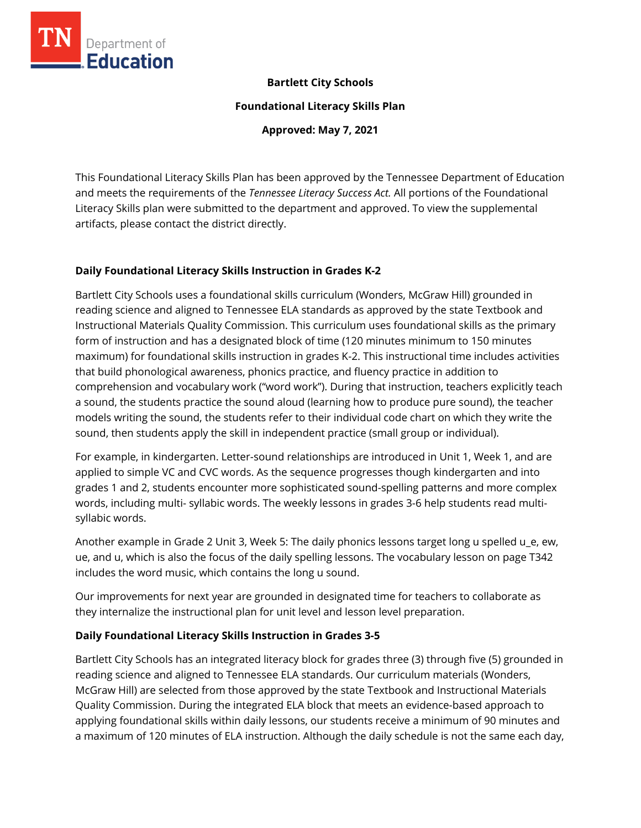

### **Bartlett City Schools**

**Foundational Literacy Skills Plan**

**Approved: May 7, 2021**

This Foundational Literacy Skills Plan has been approved by the Tennessee Department of Education and meets the requirements of the *Tennessee Literacy Success Act.* All portions of the Foundational Literacy Skills plan were submitted to the department and approved. To view the supplemental artifacts, please contact the district directly.

### **Daily Foundational Literacy Skills Instruction in Grades K-2**

Bartlett City Schools uses a foundational skills curriculum (Wonders, McGraw Hill) grounded in reading science and aligned to Tennessee ELA standards as approved by the state Textbook and Instructional Materials Quality Commission. This curriculum uses foundational skills as the primary form of instruction and has a designated block of time (120 minutes minimum to 150 minutes maximum) for foundational skills instruction in grades K-2. This instructional time includes activities that build phonological awareness, phonics practice, and fluency practice in addition to comprehension and vocabulary work ("word work"). During that instruction, teachers explicitly teach a sound, the students practice the sound aloud (learning how to produce pure sound), the teacher models writing the sound, the students refer to their individual code chart on which they write the sound, then students apply the skill in independent practice (small group or individual).

For example, in kindergarten. Letter-sound relationships are introduced in Unit 1, Week 1, and are applied to simple VC and CVC words. As the sequence progresses though kindergarten and into grades 1 and 2, students encounter more sophisticated sound-spelling patterns and more complex words, including multi- syllabic words. The weekly lessons in grades 3-6 help students read multisyllabic words.

Another example in Grade 2 Unit 3, Week 5: The daily phonics lessons target long u spelled u\_e, ew, ue, and u, which is also the focus of the daily spelling lessons. The vocabulary lesson on page T342 includes the word music, which contains the long u sound.

Our improvements for next year are grounded in designated time for teachers to collaborate as they internalize the instructional plan for unit level and lesson level preparation.

# **Daily Foundational Literacy Skills Instruction in Grades 3-5**

Bartlett City Schools has an integrated literacy block for grades three (3) through five (5) grounded in reading science and aligned to Tennessee ELA standards. Our curriculum materials (Wonders, McGraw Hill) are selected from those approved by the state Textbook and Instructional Materials Quality Commission. During the integrated ELA block that meets an evidence-based approach to applying foundational skills within daily lessons, our students receive a minimum of 90 minutes and a maximum of 120 minutes of ELA instruction. Although the daily schedule is not the same each day,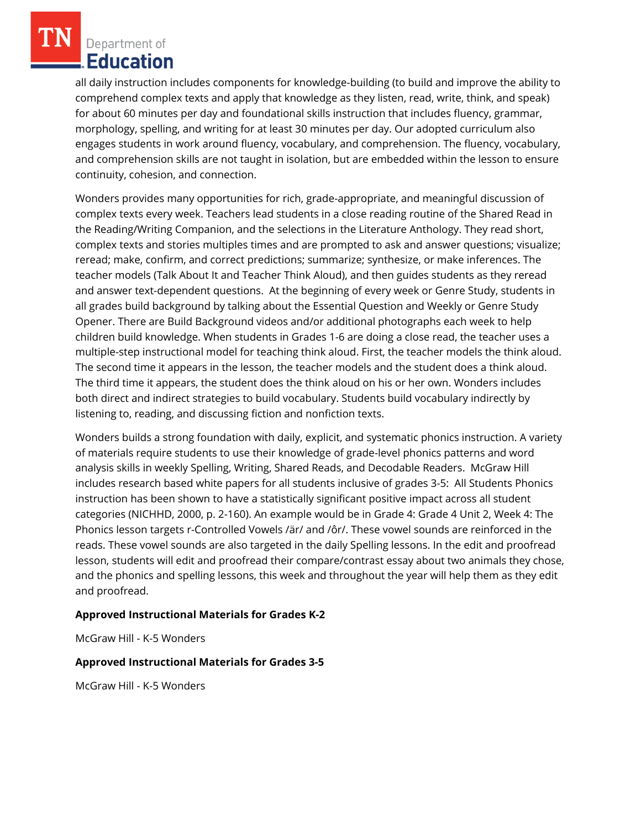Department of Education

all daily instruction includes components for knowledge-building (to build and improve the ability to comprehend complex texts and apply that knowledge as they listen, read, write, think, and speak) for about 60 minutes per day and foundational skills instruction that includes fluency, grammar, morphology, spelling, and writing for at least 30 minutes per day. Our adopted curriculum also engages students in work around fluency, vocabulary, and comprehension. The fluency, vocabulary, and comprehension skills are not taught in isolation, but are embedded within the lesson to ensure continuity, cohesion, and connection.

Wonders provides many opportunities for rich, grade-appropriate, and meaningful discussion of complex texts every week. Teachers lead students in a close reading routine of the Shared Read in the Reading/Writing Companion, and the selections in the Literature Anthology. They read short, complex texts and stories multiples times and are prompted to ask and answer questions; visualize; reread; make, confirm, and correct predictions; summarize; synthesize, or make inferences. The teacher models (Talk About It and Teacher Think Aloud), and then guides students as they reread and answer text-dependent questions. At the beginning of every week or Genre Study, students in all grades build background by talking about the Essential Question and Weekly or Genre Study Opener. There are Build Background videos and/or additional photographs each week to help children build knowledge. When students in Grades 1-6 are doing a close read, the teacher uses a multiple-step instructional model for teaching think aloud. First, the teacher models the think aloud. The second time it appears in the lesson, the teacher models and the student does a think aloud. The third time it appears, the student does the think aloud on his or her own. Wonders includes both direct and indirect strategies to build vocabulary. Students build vocabulary indirectly by listening to, reading, and discussing fiction and nonfiction texts.

Wonders builds a strong foundation with daily, explicit, and systematic phonics instruction. A variety of materials require students to use their knowledge of grade-level phonics patterns and word analysis skills in weekly Spelling, Writing, Shared Reads, and Decodable Readers. McGraw Hill includes research based white papers for all students inclusive of grades 3-5: All Students Phonics instruction has been shown to have a statistically significant positive impact across all student categories (NICHHD, 2000, p. 2-160). An example would be in Grade 4: Grade 4 Unit 2, Week 4: The Phonics lesson targets r-Controlled Vowels /är/ and /ôr/. These vowel sounds are reinforced in the reads. These vowel sounds are also targeted in the daily Spelling lessons. In the edit and proofread lesson, students will edit and proofread their compare/contrast essay about two animals they chose, and the phonics and spelling lessons, this week and throughout the year will help them as they edit and proofread.

### **Approved Instructional Materials for Grades K-2**

McGraw Hill - K-5 Wonders

### **Approved Instructional Materials for Grades 3-5**

McGraw Hill - K-5 Wonders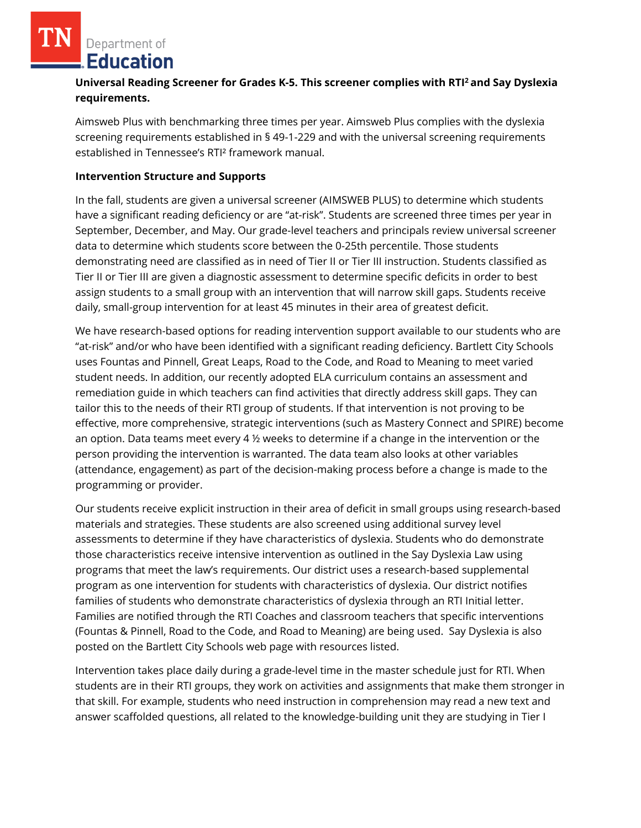Department of **Education** 

# **Universal Reading Screener for Grades K-5. This screener complies with RTI<sup>2</sup>and Say Dyslexia requirements.**

Aimsweb Plus with benchmarking three times per year. Aimsweb Plus complies with the dyslexia screening requirements established in § 49-1-229 and with the universal screening requirements established in Tennessee's RTI² framework manual.

#### **Intervention Structure and Supports**

In the fall, students are given a universal screener (AIMSWEB PLUS) to determine which students have a significant reading deficiency or are "at-risk". Students are screened three times per year in September, December, and May. Our grade-level teachers and principals review universal screener data to determine which students score between the 0-25th percentile. Those students demonstrating need are classified as in need of Tier II or Tier III instruction. Students classified as Tier II or Tier III are given a diagnostic assessment to determine specific deficits in order to best assign students to a small group with an intervention that will narrow skill gaps. Students receive daily, small-group intervention for at least 45 minutes in their area of greatest deficit.

We have research-based options for reading intervention support available to our students who are "at-risk" and/or who have been identified with a significant reading deficiency. Bartlett City Schools uses Fountas and Pinnell, Great Leaps, Road to the Code, and Road to Meaning to meet varied student needs. In addition, our recently adopted ELA curriculum contains an assessment and remediation guide in which teachers can find activities that directly address skill gaps. They can tailor this to the needs of their RTI group of students. If that intervention is not proving to be effective, more comprehensive, strategic interventions (such as Mastery Connect and SPIRE) become an option. Data teams meet every 4 ½ weeks to determine if a change in the intervention or the person providing the intervention is warranted. The data team also looks at other variables (attendance, engagement) as part of the decision-making process before a change is made to the programming or provider.

Our students receive explicit instruction in their area of deficit in small groups using research-based materials and strategies. These students are also screened using additional survey level assessments to determine if they have characteristics of dyslexia. Students who do demonstrate those characteristics receive intensive intervention as outlined in the Say Dyslexia Law using programs that meet the law's requirements. Our district uses a research-based supplemental program as one intervention for students with characteristics of dyslexia. Our district notifies families of students who demonstrate characteristics of dyslexia through an RTI Initial letter. Families are notified through the RTI Coaches and classroom teachers that specific interventions (Fountas & Pinnell, Road to the Code, and Road to Meaning) are being used. Say Dyslexia is also posted on the Bartlett City Schools web page with resources listed.

Intervention takes place daily during a grade-level time in the master schedule just for RTI. When students are in their RTI groups, they work on activities and assignments that make them stronger in that skill. For example, students who need instruction in comprehension may read a new text and answer scaffolded questions, all related to the knowledge-building unit they are studying in Tier I